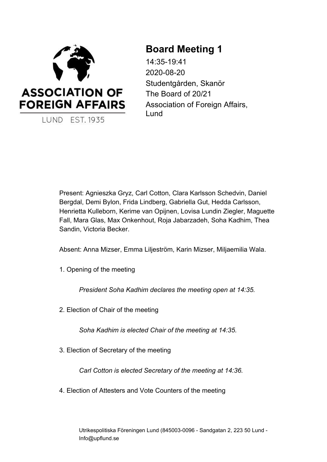

# **Board Meeting 1**

14:35-19:41 2020-08-20 Studentgården, Skanör The Board of 20/21 Association of Foreign Affairs, Lund

Present: Agnieszka Gryz, Carl Cotton, Clara Karlsson Schedvin, Daniel Bergdal, Demi Bylon, Frida Lindberg, Gabriella Gut, Hedda Carlsson, Henrietta Kulleborn, Kerime van Opijnen, Lovisa Lundin Ziegler, Maguette Fall, Mara Glas, Max Onkenhout, Roja Jabarzadeh, Soha Kadhim, Thea Sandin, Victoria Becker.

Absent: Anna Mizser, Emma Liljeström, Karin Mizser, Miljaemilia Wala.

1. Opening of the meeting

*President Soha Kadhim declares the meeting open at 14:35.*

2. Election of Chair of the meeting

*Soha Kadhim is elected Chair of the meeting at 14:35.*

3. Election of Secretary of the meeting

*Carl Cotton is elected Secretary of the meeting at 14:36.*

4. Election of Attesters and Vote Counters of the meeting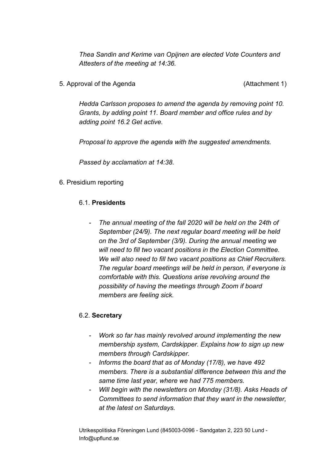*Thea Sandin and Kerime van Opijnen are elected Vote Counters and Attesters of the meeting at 14:36.*

5. Approval of the Agenda (Attachment 1)

*Hedda Carlsson proposes to amend the agenda by removing point 10. Grants, by adding point 11. Board member and office rules and by adding point 16.2 Get active.*

*Proposal to approve the agenda with the suggested amendments.*

*Passed by acclamation at 14:38.*

## 6. Presidium reporting

#### 6.1. **Presidents**

*- The annual meeting of the fall 2020 will be held on the 24th of September (24/9). The next regular board meeting will be held on the 3rd of September (3/9). During the annual meeting we will need to fill two vacant positions in the Election Committee. We will also need to fill two vacant positions as Chief Recruiters. The regular board meetings will be held in person, if everyone is comfortable with this. Questions arise revolving around the possibility of having the meetings through Zoom if board members are feeling sick.*

#### 6.2. **Secretary**

- *- Work so far has mainly revolved around implementing the new membership system, Cardskipper. Explains how to sign up new members through Cardskipper.*
- *- Informs the board that as of Monday (17/8), we have 492 members. There is a substantial difference between this and the same time last year, where we had 775 members.*
- *- Will begin with the newsletters on Monday (31/8). Asks Heads of Committees to send information that they want in the newsletter, at the latest on Saturdays.*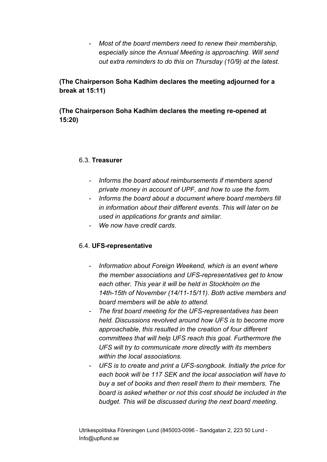*- Most of the board members need to renew their membership, especially since the Annual Meeting is approaching. Will send out extra reminders to do this on Thursday (10/9) at the latest.*

**(The Chairperson Soha Kadhim declares the meeting adjourned for a break at 15:11)**

**(The Chairperson Soha Kadhim declares the meeting re-opened at 15:20)**

## 6.3. **Treasurer**

- *- Informs the board about reimbursements if members spend private money in account of UPF, and how to use the form.*
- *- Informs the board about a document where board members fill in information about their different events. This will later on be used in applications for grants and similar.*
- *- We now have credit cards.*

## 6.4. **UFS-representative**

- *- Information about Foreign Weekend, which is an event where the member associations and UFS-representatives get to know each other. This year it will be held in Stockholm on the 14th-15th of November (14/11-15/11). Both active members and board members will be able to attend.*
- *- The first board meeting for the UFS-representatives has been held. Discussions revolved around how UFS is to become more approachable, this resulted in the creation of four different committees that will help UFS reach this goal. Furthermore the UFS will try to communicate more directly with its members within the local associations.*
- *- UFS is to create and print a UFS-songbook. Initially the price for each book will be 117 SEK and the local association will have to buy a set of books and then resell them to their members. The board is asked whether or not this cost should be included in the budget. This will be discussed during the next board meeting.*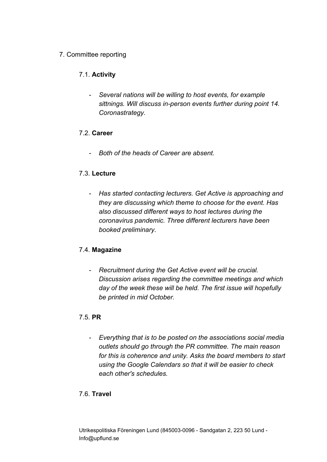# 7. Committee reporting

# 7.1. **Activity**

*- Several nations will be willing to host events, for example sittnings. Will discuss in-person events further during point 14. Coronastrategy.*

## 7.2. **Career**

*- Both of the heads of Career are absent.*

# 7.3. **Lecture**

*- Has started contacting lecturers. Get Active is approaching and they are discussing which theme to choose for the event. Has also discussed different ways to host lectures during the coronavirus pandemic. Three different lecturers have been booked preliminary.*

# 7.4. **Magazine**

*- Recruitment during the Get Active event will be crucial. Discussion arises regarding the committee meetings and which day of the week these will be held. The first issue will hopefully be printed in mid October.*

## 7.5. **PR**

*- Everything that is to be posted on the associations social media outlets should go through the PR committee. The main reason for this is coherence and unity. Asks the board members to start using the Google Calendars so that it will be easier to check each other's schedules.*

## 7.6. **Travel**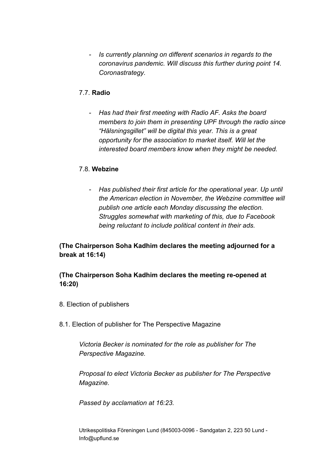*- Is currently planning on different scenarios in regards to the coronavirus pandemic. Will discuss this further during point 14. Coronastrategy.*

# 7.7. **Radio**

*- Has had their first meeting with Radio AF. Asks the board members to join them in presenting UPF through the radio since "Hälsningsgillet" will be digital this year. This is a great opportunity for the association to market itself. Will let the interested board members know when they might be needed.*

# 7.8. **Webzine**

*- Has published their first article for the operational year. Up until the American election in November, the Webzine committee will publish one article each Monday discussing the election. Struggles somewhat with marketing of this, due to Facebook being reluctant to include political content in their ads.*

# **(The Chairperson Soha Kadhim declares the meeting adjourned for a break at 16:14)**

# **(The Chairperson Soha Kadhim declares the meeting re-opened at 16:20)**

- 8. Election of publishers
- 8.1. Election of publisher for The Perspective Magazine

*Victoria Becker is nominated for the role as publisher for The Perspective Magazine.*

*Proposal to elect Victoria Becker as publisher for The Perspective Magazine.*

*Passed by acclamation at 16:23.*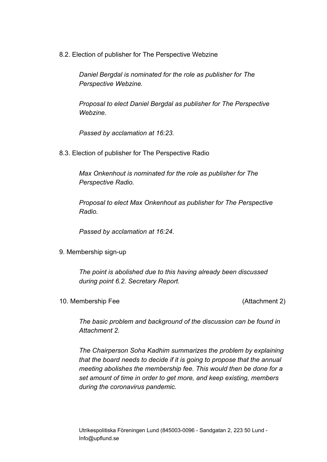8.2. Election of publisher for The Perspective Webzine

*Daniel Bergdal is nominated for the role as publisher for The Perspective Webzine.*

*Proposal to elect Daniel Bergdal as publisher for The Perspective Webzine.*

*Passed by acclamation at 16:23.*

8.3. Election of publisher for The Perspective Radio

*Max Onkenhout is nominated for the role as publisher for The Perspective Radio.*

*Proposal to elect Max Onkenhout as publisher for The Perspective Radio.*

*Passed by acclamation at 16:24.*

9. Membership sign-up

*The point is abolished due to this having already been discussed during point 6.2. Secretary Report.*

10. Membership Fee (Attachment 2)

*The basic problem and background of the discussion can be found in Attachment 2.*

*The Chairperson Soha Kadhim summarizes the problem by explaining that the board needs to decide if it is going to propose that the annual meeting abolishes the membership fee. This would then be done for a set amount of time in order to get more, and keep existing, members during the coronavirus pandemic.*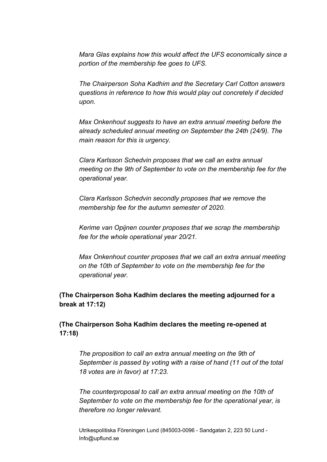*Mara Glas explains how this would affect the UFS economically since a portion of the membership fee goes to UFS.*

*The Chairperson Soha Kadhim and the Secretary Carl Cotton answers questions in reference to how this would play out concretely if decided upon.*

*Max Onkenhout suggests to have an extra annual meeting before the already scheduled annual meeting on September the 24th (24/9). The main reason for this is urgency.*

*Clara Karlsson Schedvin proposes that we call an extra annual meeting on the 9th of September to vote on the membership fee for the operational year.*

*Clara Karlsson Schedvin secondly proposes that we remove the membership fee for the autumn semester of 2020.*

*Kerime van Opijnen counter proposes that we scrap the membership fee for the whole operational year 20/21.*

*Max Onkenhout counter proposes that we call an extra annual meeting on the 10th of September to vote on the membership fee for the operational year.*

## **(The Chairperson Soha Kadhim declares the meeting adjourned for a break at 17:12)**

**(The Chairperson Soha Kadhim declares the meeting re-opened at 17:18)**

*The proposition to call an extra annual meeting on the 9th of September is passed by voting with a raise of hand (11 out of the total 18 votes are in favor) at 17:23.*

*The counterproposal to call an extra annual meeting on the 10th of September to vote on the membership fee for the operational year, is therefore no longer relevant.*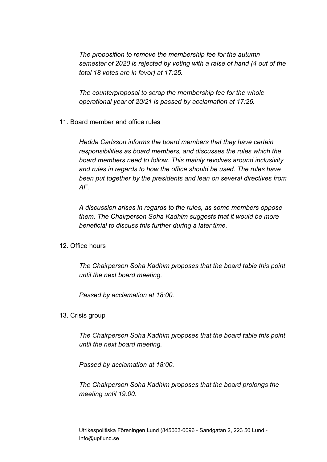*The proposition to remove the membership fee for the autumn semester of 2020 is rejected by voting with a raise of hand (4 out of the total 18 votes are in favor) at 17:25.*

*The counterproposal to scrap the membership fee for the whole operational year of 20/21 is passed by acclamation at 17:26.*

11. Board member and office rules

*Hedda Carlsson informs the board members that they have certain responsibilities as board members, and discusses the rules which the board members need to follow. This mainly revolves around inclusivity and rules in regards to how the office should be used. The rules have been put together by the presidents and lean on several directives from AF.*

*A discussion arises in regards to the rules, as some members oppose them. The Chairperson Soha Kadhim suggests that it would be more beneficial to discuss this further during a later time.*

12. Office hours

*The Chairperson Soha Kadhim proposes that the board table this point until the next board meeting.*

*Passed by acclamation at 18:00.*

13. Crisis group

*The Chairperson Soha Kadhim proposes that the board table this point until the next board meeting.*

*Passed by acclamation at 18:00.*

*The Chairperson Soha Kadhim proposes that the board prolongs the meeting until 19:00.*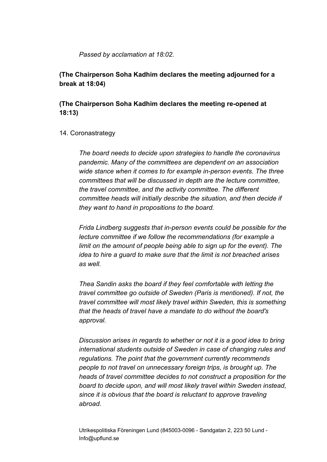#### *Passed by acclamation at 18:02.*

**(The Chairperson Soha Kadhim declares the meeting adjourned for a break at 18:04)**

**(The Chairperson Soha Kadhim declares the meeting re-opened at 18:13)**

#### 14. Coronastrategy

*The board needs to decide upon strategies to handle the coronavirus pandemic. Many of the committees are dependent on an association wide stance when it comes to for example in-person events. The three committees that will be discussed in depth are the lecture committee, the travel committee, and the activity committee. The different committee heads will initially describe the situation, and then decide if they want to hand in propositions to the board.*

*Frida Lindberg suggests that in-person events could be possible for the lecture committee if we follow the recommendations (for example a limit on the amount of people being able to sign up for the event). The idea to hire a guard to make sure that the limit is not breached arises as well.*

*Thea Sandin asks the board if they feel comfortable with letting the travel committee go outside of Sweden (Paris is mentioned). If not, the travel committee will most likely travel within Sweden, this is something that the heads of travel have a mandate to do without the board's approval.*

*Discussion arises in regards to whether or not it is a good idea to bring international students outside of Sweden in case of changing rules and regulations. The point that the government currently recommends people to not travel on unnecessary foreign trips, is brought up. The heads of travel committee decides to not construct a proposition for the board to decide upon, and will most likely travel within Sweden instead, since it is obvious that the board is reluctant to approve traveling abroad.*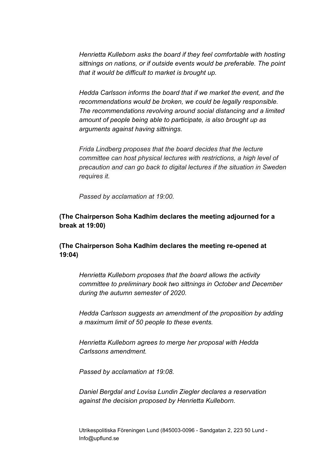*Henrietta Kulleborn asks the board if they feel comfortable with hosting sittnings on nations, or if outside events would be preferable. The point that it would be difficult to market is brought up.*

*Hedda Carlsson informs the board that if we market the event, and the recommendations would be broken, we could be legally responsible. The recommendations revolving around social distancing and a limited amount of people being able to participate, is also brought up as arguments against having sittnings.*

*Frida Lindberg proposes that the board decides that the lecture committee can host physical lectures with restrictions, a high level of precaution and can go back to digital lectures if the situation in Sweden requires it.*

*Passed by acclamation at 19:00.*

# **(The Chairperson Soha Kadhim declares the meeting adjourned for a break at 19:00)**

# **(The Chairperson Soha Kadhim declares the meeting re-opened at 19:04)**

*Henrietta Kulleborn proposes that the board allows the activity committee to preliminary book two sittnings in October and December during the autumn semester of 2020.*

*Hedda Carlsson suggests an amendment of the proposition by adding a maximum limit of 50 people to these events.*

*Henrietta Kulleborn agrees to merge her proposal with Hedda Carlssons amendment.*

*Passed by acclamation at 19:08.*

*Daniel Bergdal and Lovisa Lundin Ziegler declares a reservation against the decision proposed by Henrietta Kulleborn.*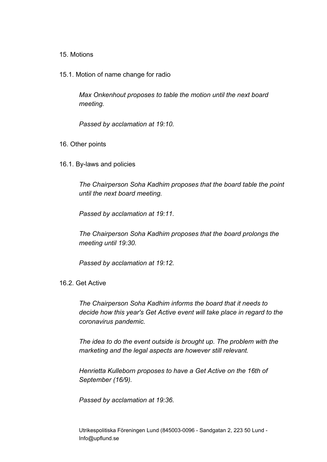#### 15. Motions

15.1. Motion of name change for radio

*Max Onkenhout proposes to table the motion until the next board meeting.*

*Passed by acclamation at 19:10.*

- 16. Other points
- 16.1. By-laws and policies

*The Chairperson Soha Kadhim proposes that the board table the point until the next board meeting.*

*Passed by acclamation at 19:11.*

*The Chairperson Soha Kadhim proposes that the board prolongs the meeting until 19:30.*

*Passed by acclamation at 19:12.*

#### 16.2. Get Active

*The Chairperson Soha Kadhim informs the board that it needs to decide how this year's Get Active event will take place in regard to the coronavirus pandemic.*

*The idea to do the event outside is brought up. The problem with the marketing and the legal aspects are however still relevant.*

*Henrietta Kulleborn proposes to have a Get Active on the 16th of September (16/9).*

*Passed by acclamation at 19:36.*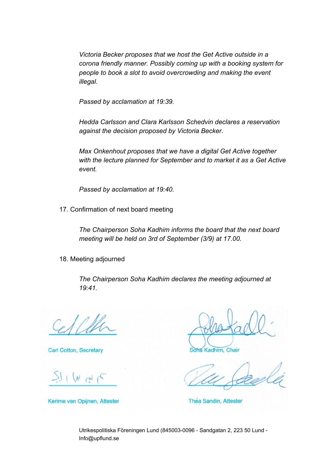*Victoria Becker proposes that we host the Get Active outside in a corona friendly manner. Possibly coming up with a booking system for people to book a slot to avoid overcrowding and making the event illegal.*

*Passed by acclamation at 19:39.*

*Hedda Carlsson and Clara Karlsson Schedvin declares a reservation against the decision proposed by Victoria Becker.*

*Max Onkenhout proposes that we have a digital Get Active together with the lecture planned for September and to market it as a Get Active event.*

*Passed by acclamation at 19:40.*

17. Confirmation of next board meeting

*The Chairperson Soha Kadhim informs the board that the next board meeting will be held on 3rd of September (3/9) at 17.00.*

18. Meeting adjourned

*The Chairperson Soha Kadhim declares the meeting adjourned at 19:41.*

**Carl Cotton, Secretary** 

 $1 (N_H)$ 

Kerime van Opijnen, Attester

**Kadhim, Chair** 

Thea Sandin, Attester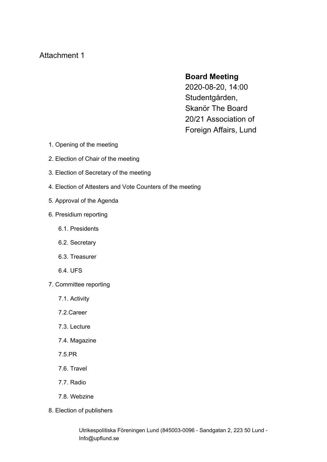# Attachment 1

# **Board Meeting**

2020-08-20, 14:00 Studentgården, Skanör The Board 20/21 Association of Foreign Affairs, Lund

- 1. Opening of the meeting
- 2. Election of Chair of the meeting
- 3. Election of Secretary of the meeting
- 4. Election of Attesters and Vote Counters of the meeting
- 5. Approval of the Agenda
- 6. Presidium reporting
	- 6.1. Presidents
	- 6.2. Secretary
	- 6.3. Treasurer
	- 6.4. UFS
- 7. Committee reporting
	- 7.1. Activity
	- 7.2.Career
	- 7.3. Lecture
	- 7.4. Magazine
	- 7.5.PR
	- 7.6. Travel
	- 7.7. Radio
	- 7.8. Webzine
- 8. Election of publishers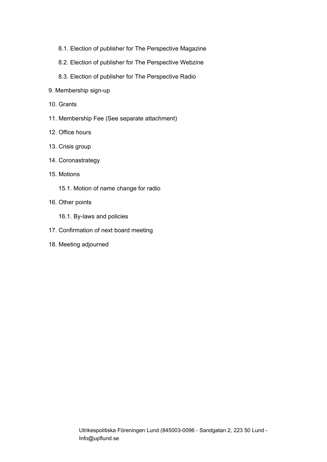- 8.1. Election of publisher for The Perspective Magazine
- 8.2. Election of publisher for The Perspective Webzine
- 8.3. Election of publisher for The Perspective Radio
- 9. Membership sign-up
- 10. Grants
- 11. Membership Fee (See separate attachment)
- 12. Office hours
- 13. Crisis group
- 14. Coronastrategy
- 15. Motions
	- 15.1. Motion of name change for radio
- 16. Other points
	- 16.1. By-laws and policies
- 17. Confirmation of next board meeting
- 18. Meeting adjourned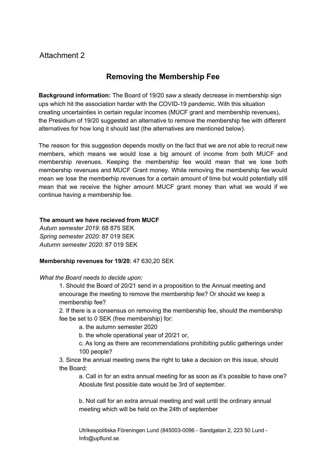# Attachment 2

# **Removing the Membership Fee**

**Background information:** The Board of 19/20 saw a steady decrease in membership sign ups which hit the association harder with the COVID-19 pandemic. With this situation creating uncertainties in certain regular incomes (MUCF grant and membership revenues), the Presidium of 19/20 suggested an alternative to remove the membership fee with different alternatives for how long it should last (the alternatives are mentioned below).

The reason for this suggestion depends mostly on the fact that we are not able to recruit new members, which means we would lose a big amount of income from both MUCF and membership revenues. Keeping the membership fee would mean that we lose both membership revenues and MUCF Grant money. While removing the membership fee would mean we lose the memberhip revenues for a certain amount of time but would potentially still mean that we receive the higher amount MUCF grant money than what we would if we continue having a membership fee.

#### **The amount we have recieved from MUCF**

*Autum semester 2019*: 68 875 SEK *Spring semester 2020*: 87 019 SEK *Autumn semester 2020*: 87 019 SEK

#### **Membership revenues for 19/20**: 47 630,20 SEK

*What the Board needs to decide upon:*

1. Should the Board of 20/21 send in a proposition to the Annual meeting and encourage the meeting to remove the membership fee? Or should we keep a membership fee?

2. If there is a consensus on removing the membership fee, should the membership fee be set to 0 SEK (free membership) for:

a. the autumn semester 2020

b. the whole operational year of 20/21 or,

c. As long as there are recommendations prohibiting public gatherings under 100 people?

3. Since the annual meeting owns the right to take a decision on this issue, should the Board:

a. Call in for an extra annual meeting for as soon as it's possible to have one? Aboslute first possible date would be 3rd of september.

b. Not call for an extra annual meeting and wait until the ordinary annual meeting which will be held on the 24th of september